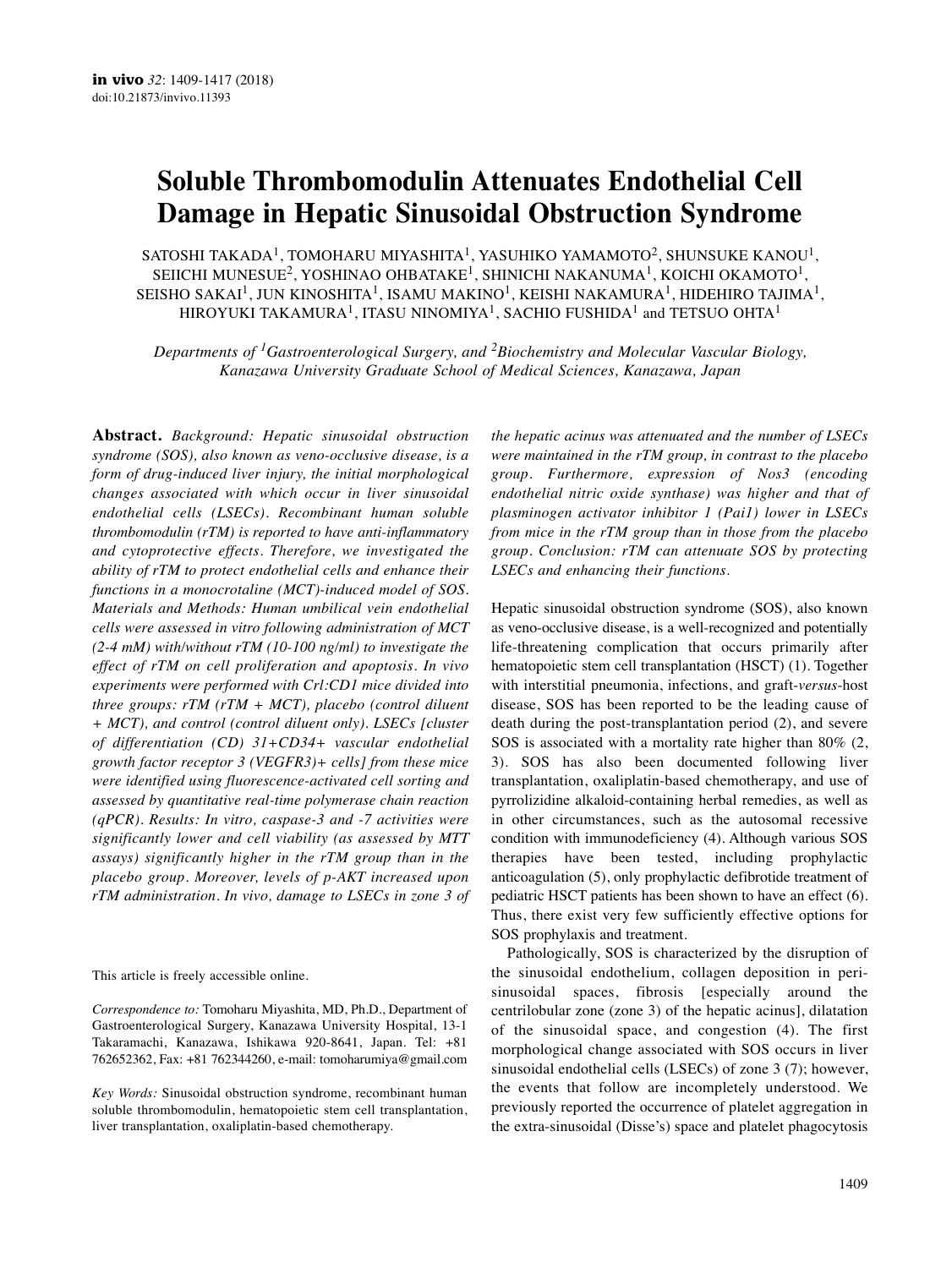# **Soluble Thrombomodulin Attenuates Endothelial Cell Damage in Hepatic Sinusoidal Obstruction Syndrome**

SATOSHI TAKADA<sup>1</sup>, TOMOHARU MIYASHITA<sup>1</sup>, YASUHIKO YAMAMOTO<sup>2</sup>, SHUNSUKE KANOU<sup>1</sup>, SEIICHI MUNESUE<sup>2</sup>, YOSHINAO OHBATAKE<sup>1</sup>, SHINICHI NAKANUMA<sup>1</sup>, KOICHI OKAMOTO<sup>1</sup>, SEISHO SAKAI $^1$ , JUN KINOSHITA $^1$ , ISAMU MAKINO $^1$ , KEISHI NAKAMURA $^1$ , HIDEHIRO TAJIMA $^1$ , HIROYUKI TAKAMURA<sup>1</sup>, ITASU NINOMIYA<sup>1</sup>, SACHIO FUSHIDA<sup>1</sup> and TETSUO OHTA<sup>1</sup>

*Departments of 1Gastroenterological Surgery, and 2Biochemistry and Molecular Vascular Biology, Kanazawa University Graduate School of Medical Sciences, Kanazawa, Japan*

**Abstract.** *Background: Hepatic sinusoidal obstruction syndrome (SOS), also known as veno-occlusive disease, is a form of drug-induced liver injury, the initial morphological changes associated with which occur in liver sinusoidal endothelial cells (LSECs). Recombinant human soluble thrombomodulin (rTM) is reported to have anti-inflammatory and cytoprotective effects. Therefore, we investigated the ability of rTM to protect endothelial cells and enhance their functions in a monocrotaline (MCT)-induced model of SOS. Materials and Methods: Human umbilical vein endothelial cells were assessed in vitro following administration of MCT (2-4 mM) with/without rTM (10-100 ng/ml) to investigate the effect of rTM on cell proliferation and apoptosis. In vivo experiments were performed with Crl:CD1 mice divided into three groups: rTM (rTM + MCT), placebo (control diluent + MCT), and control (control diluent only). LSECs [cluster of differentiation (CD) 31+CD34+ vascular endothelial growth factor receptor 3 (VEGFR3)+ cells] from these mice were identified using fluorescence-activated cell sorting and assessed by quantitative real-time polymerase chain reaction (qPCR). Results: In vitro, caspase-3 and -7 activities were significantly lower and cell viability (as assessed by MTT assays) significantly higher in the rTM group than in the placebo group. Moreover, levels of p-AKT increased upon rTM administration. In vivo, damage to LSECs in zone 3 of*

This article is freely accessible online.

*Correspondence to:* Tomoharu Miyashita, MD, Ph.D., Department of Gastroenterological Surgery, Kanazawa University Hospital, 13-1 Takaramachi, Kanazawa, Ishikawa 920-8641, Japan. Tel: +81 762652362, Fax: +81 762344260, e-mail: tomoharumiya@gmail.com

*Key Words:* Sinusoidal obstruction syndrome, recombinant human soluble thrombomodulin, hematopoietic stem cell transplantation, liver transplantation, oxaliplatin-based chemotherapy.

*the hepatic acinus was attenuated and the number of LSECs were maintained in the rTM group, in contrast to the placebo group. Furthermore, expression of Nos3 (encoding endothelial nitric oxide synthase) was higher and that of plasminogen activator inhibitor 1 (Pai1) lower in LSECs from mice in the rTM group than in those from the placebo group. Conclusion: rTM can attenuate SOS by protecting LSECs and enhancing their functions.*

Hepatic sinusoidal obstruction syndrome (SOS), also known as veno-occlusive disease, is a well-recognized and potentially life-threatening complication that occurs primarily after hematopoietic stem cell transplantation (HSCT) (1). Together with interstitial pneumonia, infections, and graft-*versus*-host disease, SOS has been reported to be the leading cause of death during the post-transplantation period (2), and severe SOS is associated with a mortality rate higher than 80% (2, 3). SOS has also been documented following liver transplantation, oxaliplatin-based chemotherapy, and use of pyrrolizidine alkaloid-containing herbal remedies, as well as in other circumstances, such as the autosomal recessive condition with immunodeficiency (4). Although various SOS therapies have been tested, including prophylactic anticoagulation (5), only prophylactic defibrotide treatment of pediatric HSCT patients has been shown to have an effect (6). Thus, there exist very few sufficiently effective options for SOS prophylaxis and treatment.

Pathologically, SOS is characterized by the disruption of the sinusoidal endothelium, collagen deposition in perisinusoidal spaces, fibrosis [especially around the centrilobular zone (zone 3) of the hepatic acinus], dilatation of the sinusoidal space, and congestion (4). The first morphological change associated with SOS occurs in liver sinusoidal endothelial cells (LSECs) of zone 3 (7); however, the events that follow are incompletely understood. We previously reported the occurrence of platelet aggregation in the extra-sinusoidal (Disse's) space and platelet phagocytosis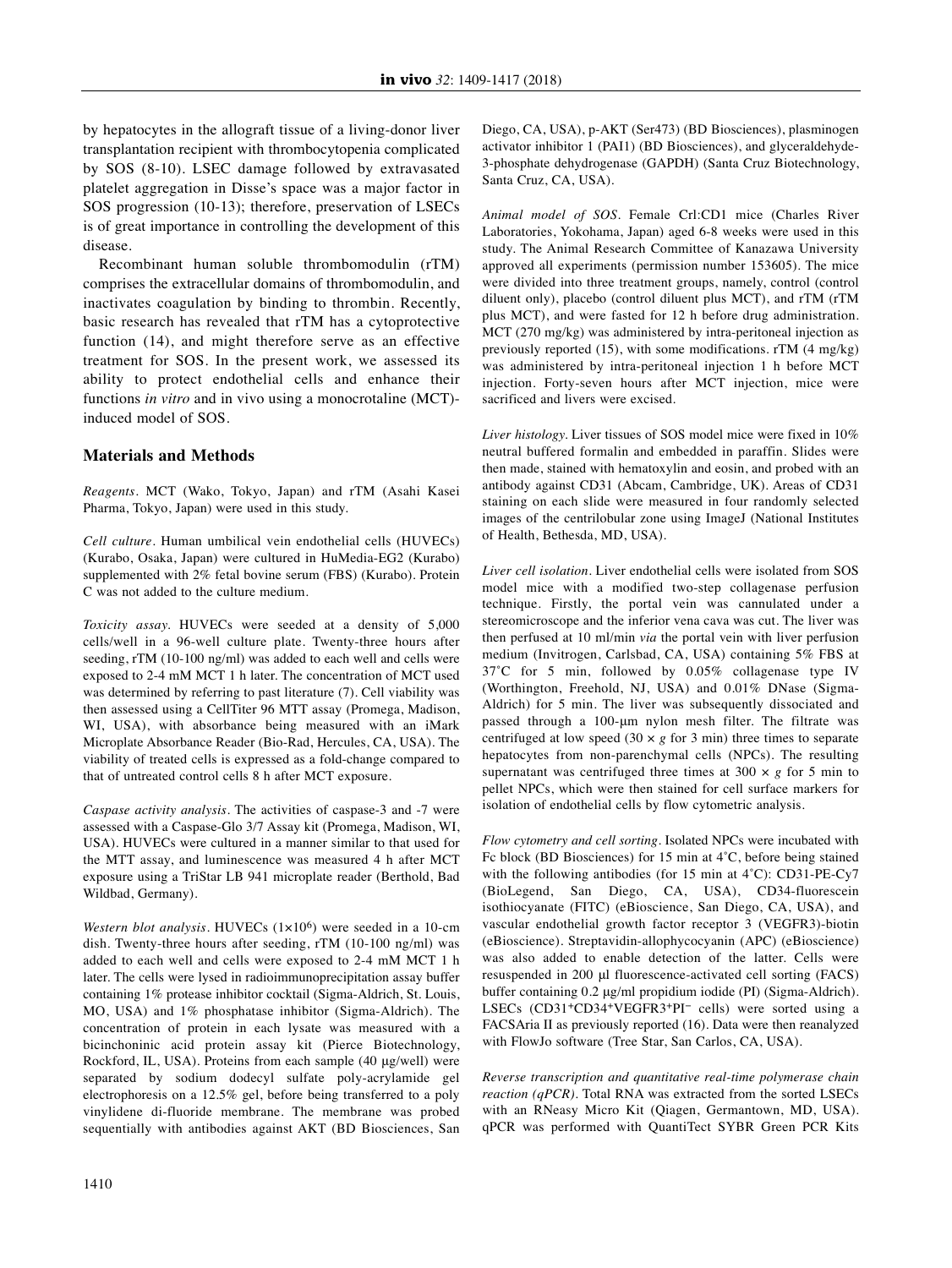by hepatocytes in the allograft tissue of a living-donor liver transplantation recipient with thrombocytopenia complicated by SOS (8-10). LSEC damage followed by extravasated platelet aggregation in Disse's space was a major factor in SOS progression (10-13); therefore, preservation of LSECs is of great importance in controlling the development of this disease.

Recombinant human soluble thrombomodulin (rTM) comprises the extracellular domains of thrombomodulin, and inactivates coagulation by binding to thrombin. Recently, basic research has revealed that rTM has a cytoprotective function (14), and might therefore serve as an effective treatment for SOS. In the present work, we assessed its ability to protect endothelial cells and enhance their functions *in vitro* and in vivo using a monocrotaline (MCT) induced model of SOS.

# **Materials and Methods**

*Reagents.* MCT (Wako, Tokyo, Japan) and rTM (Asahi Kasei Pharma, Tokyo, Japan) were used in this study.

*Cell culture.* Human umbilical vein endothelial cells (HUVECs) (Kurabo, Osaka, Japan) were cultured in HuMedia-EG2 (Kurabo) supplemented with 2% fetal bovine serum (FBS) (Kurabo). Protein C was not added to the culture medium.

*Toxicity assay.* HUVECs were seeded at a density of 5,000 cells/well in a 96-well culture plate. Twenty-three hours after seeding, rTM (10-100 ng/ml) was added to each well and cells were exposed to 2-4 mM MCT 1 h later. The concentration of MCT used was determined by referring to past literature (7). Cell viability was then assessed using a CellTiter 96 MTT assay (Promega, Madison, WI, USA), with absorbance being measured with an iMark Microplate Absorbance Reader (Bio-Rad, Hercules, CA, USA). The viability of treated cells is expressed as a fold-change compared to that of untreated control cells 8 h after MCT exposure.

*Caspase activity analysis.* The activities of caspase-3 and -7 were assessed with a Caspase-Glo 3/7 Assay kit (Promega, Madison, WI, USA). HUVECs were cultured in a manner similar to that used for the MTT assay, and luminescence was measured 4 h after MCT exposure using a TriStar LB 941 microplate reader (Berthold, Bad Wildbad, Germany).

*Western blot analysis.* HUVECs (1×106) were seeded in a 10-cm dish. Twenty-three hours after seeding, rTM (10-100 ng/ml) was added to each well and cells were exposed to 2-4 mM MCT 1 h later. The cells were lysed in radioimmunoprecipitation assay buffer containing 1% protease inhibitor cocktail (Sigma-Aldrich, St. Louis, MO, USA) and 1% phosphatase inhibitor (Sigma-Aldrich). The concentration of protein in each lysate was measured with a bicinchoninic acid protein assay kit (Pierce Biotechnology, Rockford, IL, USA). Proteins from each sample (40 μg/well) were separated by sodium dodecyl sulfate poly-acrylamide gel electrophoresis on a 12.5% gel, before being transferred to a poly vinylidene di-fluoride membrane. The membrane was probed sequentially with antibodies against AKT (BD Biosciences, San

Diego, CA, USA), p-AKT (Ser473) (BD Biosciences), plasminogen activator inhibitor 1 (PAI1) (BD Biosciences), and glyceraldehyde-3-phosphate dehydrogenase (GAPDH) (Santa Cruz Biotechnology, Santa Cruz, CA, USA).

*Animal model of SOS*. Female Crl:CD1 mice (Charles River Laboratories, Yokohama, Japan) aged 6-8 weeks were used in this study. The Animal Research Committee of Kanazawa University approved all experiments (permission number 153605). The mice were divided into three treatment groups, namely, control (control diluent only), placebo (control diluent plus MCT), and rTM (rTM plus MCT), and were fasted for 12 h before drug administration. MCT (270 mg/kg) was administered by intra-peritoneal injection as previously reported (15), with some modifications. rTM (4 mg/kg) was administered by intra-peritoneal injection 1 h before MCT injection. Forty-seven hours after MCT injection, mice were sacrificed and livers were excised.

*Liver histology.* Liver tissues of SOS model mice were fixed in 10% neutral buffered formalin and embedded in paraffin. Slides were then made, stained with hematoxylin and eosin, and probed with an antibody against CD31 (Abcam, Cambridge, UK). Areas of CD31 staining on each slide were measured in four randomly selected images of the centrilobular zone using ImageJ (National Institutes of Health, Bethesda, MD, USA).

*Liver cell isolation.* Liver endothelial cells were isolated from SOS model mice with a modified two-step collagenase perfusion technique. Firstly, the portal vein was cannulated under a stereomicroscope and the inferior vena cava was cut. The liver was then perfused at 10 ml/min *via* the portal vein with liver perfusion medium (Invitrogen, Carlsbad, CA, USA) containing 5% FBS at 37˚C for 5 min, followed by 0.05% collagenase type IV (Worthington, Freehold, NJ, USA) and 0.01% DNase (Sigma-Aldrich) for 5 min. The liver was subsequently dissociated and passed through a 100-μm nylon mesh filter. The filtrate was centrifuged at low speed (30  $\times$  *g* for 3 min) three times to separate hepatocytes from non-parenchymal cells (NPCs). The resulting supernatant was centrifuged three times at  $300 \times g$  for 5 min to pellet NPCs, which were then stained for cell surface markers for isolation of endothelial cells by flow cytometric analysis.

*Flow cytometry and cell sorting.* Isolated NPCs were incubated with Fc block (BD Biosciences) for 15 min at 4˚C, before being stained with the following antibodies (for 15 min at 4˚C): CD31-PE-Cy7 (BioLegend, San Diego, CA, USA), CD34-fluorescein isothiocyanate (FITC) (eBioscience, San Diego, CA, USA), and vascular endothelial growth factor receptor 3 (VEGFR3)-biotin (eBioscience). Streptavidin-allophycocyanin (APC) (eBioscience) was also added to enable detection of the latter. Cells were resuspended in 200 μl fluorescence-activated cell sorting (FACS) buffer containing 0.2 μg/ml propidium iodide (PI) (Sigma-Aldrich). LSECs (CD31+CD34+VEGFR3+PI− cells) were sorted using a FACSAria II as previously reported (16). Data were then reanalyzed with FlowJo software (Tree Star, San Carlos, CA, USA).

*Reverse transcription and quantitative real-time polymerase chain reaction (qPCR).* Total RNA was extracted from the sorted LSECs with an RNeasy Micro Kit (Qiagen, Germantown, MD, USA). qPCR was performed with QuantiTect SYBR Green PCR Kits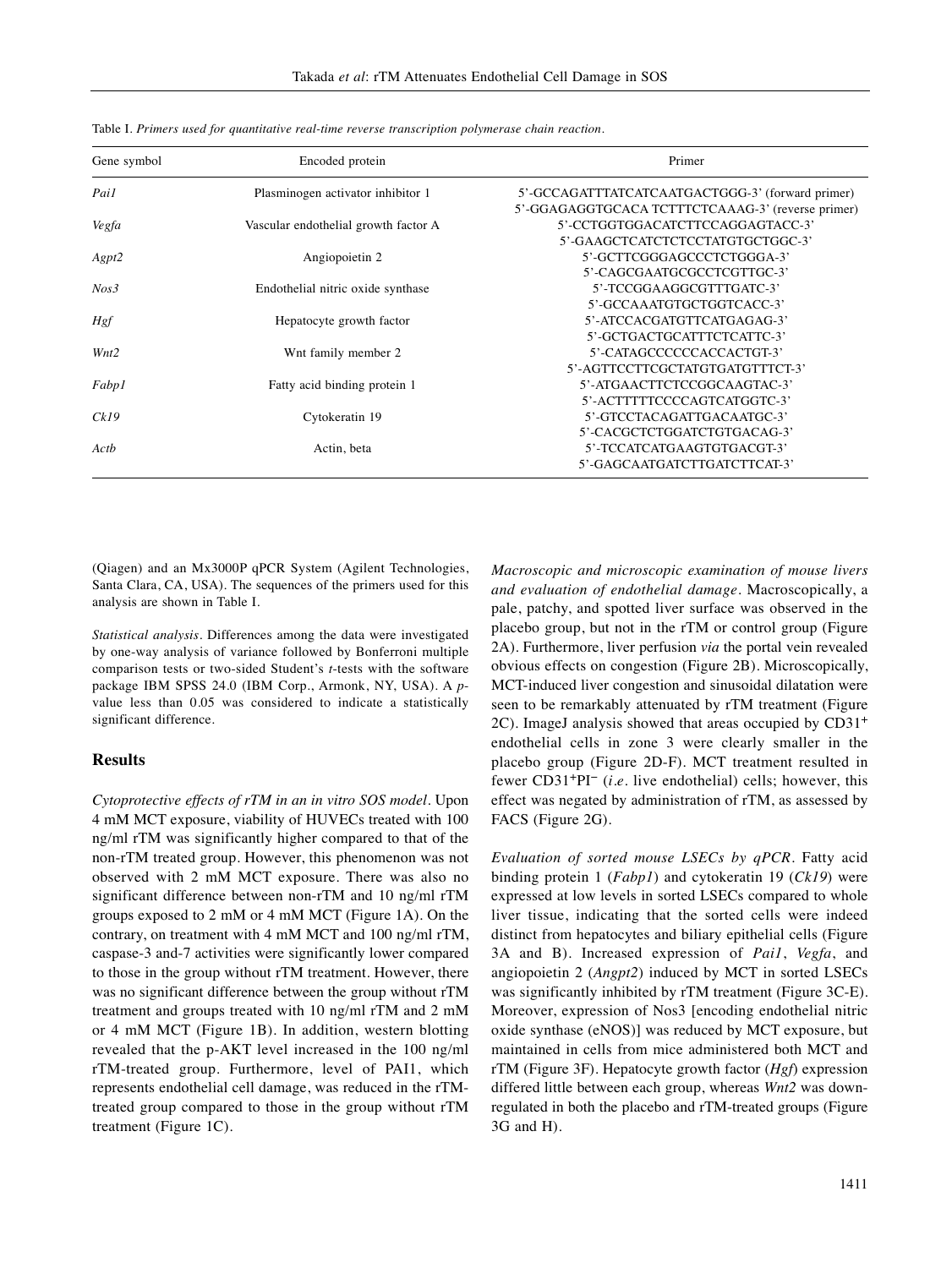| Gene symbol      | Encoded protein                      | Primer                                            |
|------------------|--------------------------------------|---------------------------------------------------|
| Pail             | Plasminogen activator inhibitor 1    | 5'-GCCAGATTTATCATCAATGACTGGG-3' (forward primer)  |
|                  |                                      | 5'-GGAGAGGTGCACA TCTTTCTCAAAG-3' (reverse primer) |
| Vegfa            | Vascular endothelial growth factor A | 5'-CCTGGTGGACATCTTCCAGGAGTACC-3'                  |
|                  |                                      | 5'-GAAGCTCATCTCTCCTATGTGCTGGC-3'                  |
| Agpt2            | Angiopoietin 2                       | 5'-GCTTCGGGAGCCCTCTGGGA-3'                        |
|                  |                                      | 5'-CAGCGAATGCGCCTCGTTGC-3'                        |
| Nos <sub>3</sub> | Endothelial nitric oxide synthase    | 5'-TCCGGAAGGCGTTTGATC-3'                          |
|                  |                                      | 5'-GCCAAATGTGCTGGTCACC-3'                         |
| <b>Hgf</b>       | Hepatocyte growth factor             | 5'-ATCCACGATGTTCATGAGAG-3'                        |
|                  |                                      | 5'-GCTGACTGCATTTCTCATTC-3'                        |
| Wnt2             | Wnt family member 2                  | 5'-CATAGCCCCCCACCACTGT-3'                         |
|                  |                                      | 5'-AGTTCCTTCGCTATGTGATGTTTCT-3'                   |
| Fabp1            | Fatty acid binding protein 1         | 5'-ATGAACTTCTCCGGCAAGTAC-3'                       |
|                  |                                      | 5'-ACTTTTTCCCCAGTCATGGTC-3'                       |
| Ck19             | Cytokeratin 19                       | 5'-GTCCTACAGATTGACAATGC-3'                        |
|                  |                                      | 5'-CACGCTCTGGATCTGTGACAG-3'                       |
| Actb             | Actin, beta                          | 5'-TCCATCATGAAGTGTGACGT-3'                        |
|                  |                                      | 5'-GAGCAATGATCTTGATCTTCAT-3'                      |

Table I. *Primers used for quantitative real-time reverse transcription polymerase chain reaction.*

(Qiagen) and an Mx3000P qPCR System (Agilent Technologies, Santa Clara, CA, USA). The sequences of the primers used for this analysis are shown in Table I.

*Statistical analysis.* Differences among the data were investigated by one-way analysis of variance followed by Bonferroni multiple comparison tests or two-sided Student's *t*-tests with the software package IBM SPSS 24.0 (IBM Corp., Armonk, NY, USA). A *p*value less than 0.05 was considered to indicate a statistically significant difference.

## **Results**

*Cytoprotective effects of rTM in an in vitro SOS model*. Upon 4 mM MCT exposure, viability of HUVECs treated with 100 ng/ml rTM was significantly higher compared to that of the non-rTM treated group. However, this phenomenon was not observed with 2 mM MCT exposure. There was also no significant difference between non-rTM and 10 ng/ml rTM groups exposed to 2 mM or 4 mM MCT (Figure 1A). On the contrary, on treatment with 4 mM MCT and 100 ng/ml rTM, caspase-3 and-7 activities were significantly lower compared to those in the group without rTM treatment. However, there was no significant difference between the group without rTM treatment and groups treated with 10 ng/ml rTM and 2 mM or 4 mM MCT (Figure 1B). In addition, western blotting revealed that the p-AKT level increased in the 100 ng/ml rTM-treated group. Furthermore, level of PAI1, which represents endothelial cell damage, was reduced in the rTMtreated group compared to those in the group without rTM treatment (Figure 1C).

*Macroscopic and microscopic examination of mouse livers and evaluation of endothelial damage.* Macroscopically, a pale, patchy, and spotted liver surface was observed in the placebo group, but not in the rTM or control group (Figure 2A). Furthermore, liver perfusion *via* the portal vein revealed obvious effects on congestion (Figure 2B). Microscopically, MCT-induced liver congestion and sinusoidal dilatation were seen to be remarkably attenuated by rTM treatment (Figure 2C). ImageJ analysis showed that areas occupied by CD31<sup>+</sup> endothelial cells in zone 3 were clearly smaller in the placebo group (Figure 2D-F). MCT treatment resulted in fewer CD31<sup>+</sup>PI<sup>-</sup> (*i.e.* live endothelial) cells; however, this effect was negated by administration of rTM, as assessed by FACS (Figure 2G).

*Evaluation of sorted mouse LSECs by qPCR.* Fatty acid binding protein 1 (*Fabp1*) and cytokeratin 19 (*Ck19*) were expressed at low levels in sorted LSECs compared to whole liver tissue, indicating that the sorted cells were indeed distinct from hepatocytes and biliary epithelial cells (Figure 3A and B). Increased expression of *Pai1*, *Vegfa*, and angiopoietin 2 (*Angpt2*) induced by MCT in sorted LSECs was significantly inhibited by rTM treatment (Figure 3C-E). Moreover, expression of Nos3 [encoding endothelial nitric oxide synthase (eNOS)] was reduced by MCT exposure, but maintained in cells from mice administered both MCT and rTM (Figure 3F). Hepatocyte growth factor (*Hgf*) expression differed little between each group, whereas *Wnt2* was downregulated in both the placebo and rTM-treated groups (Figure 3G and H).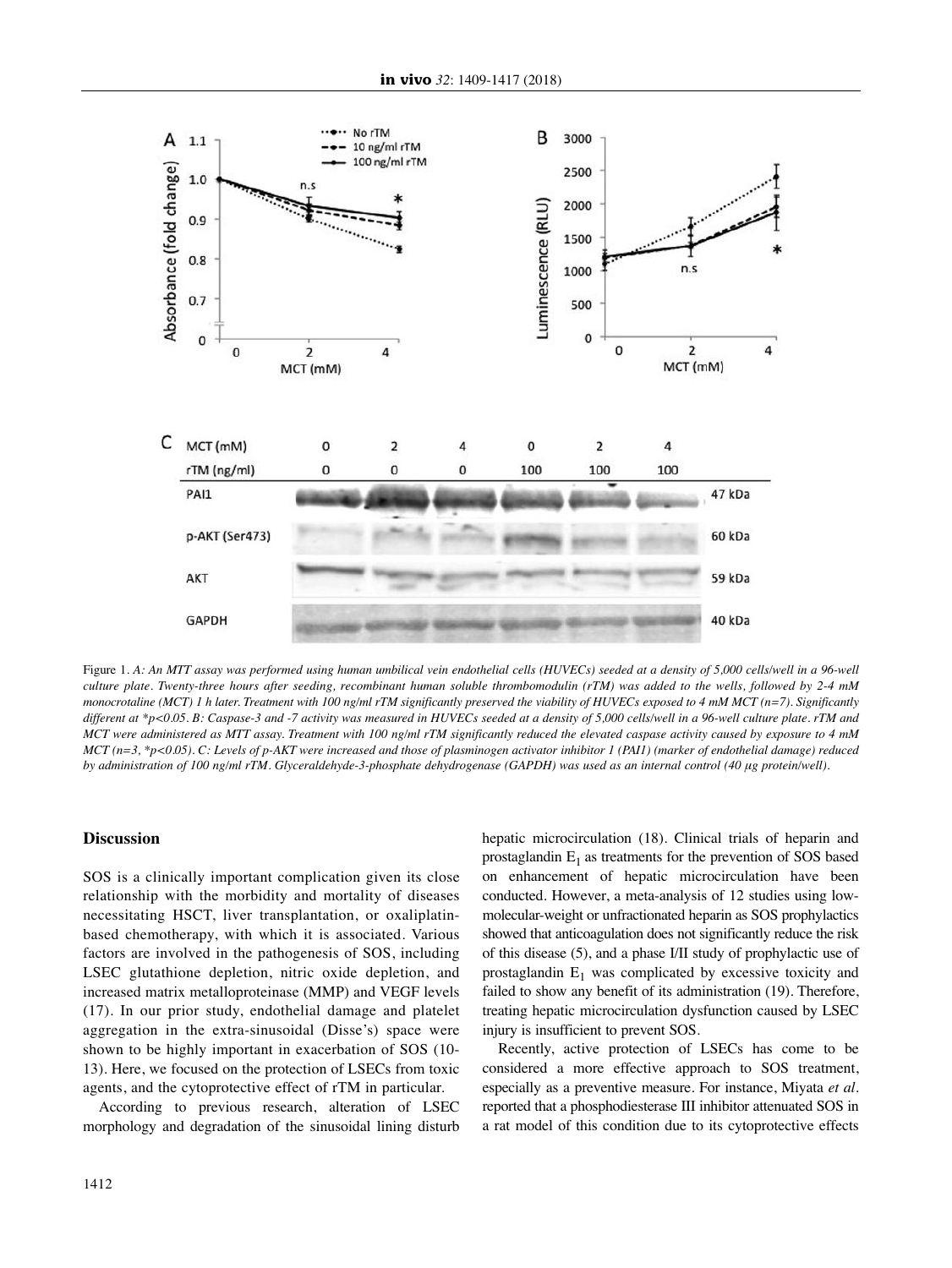

Figure 1. A: An MTT assay was performed using human umbilical vein endothelial cells (HUVECs) seeded at a density of 5,000 cells/well in a 96-well culture plate. Twenty-three hours after seeding, recombinant human soluble thrombomodulin (rTM) was added to the wells, followed by 2-4 mM monocrotaline (MCT) 1 h later. Treatment with 100 ng/ml rTM significantly preserved the viability of HUVECs exposed to 4 mM MCT (n=7). Significantly different at \*p<0.05. B: Caspase-3 and -7 activity was measured in HUVECs seeded at a density of 5,000 cells/well in a 96-well culture plate. rTM and MCT were administered as MTT assay. Treatment with 100 ng/ml rTM significantly reduced the elevated caspase activity caused by exposure to 4 mM  $MCT$  (n=3, \*p<0.05). C: Levels of p-AKT were increased and those of plasminogen activator inhibitor 1 (PAII) (marker of endothelial damage) reduced by administration of 100 ng/ml rTM. Glyceraldehyde-3-phosphate dehydrogenase (GAPDH) was used as an internal control (40 µg protein/well).

# **Discussion**

SOS is a clinically important complication given its close relationship with the morbidity and mortality of diseases necessitating HSCT, liver transplantation, or oxaliplatinbased chemotherapy, with which it is associated. Various factors are involved in the pathogenesis of SOS, including LSEC glutathione depletion, nitric oxide depletion, and increased matrix metalloproteinase (MMP) and VEGF levels (17). In our prior study, endothelial damage and platelet aggregation in the extra-sinusoidal (Disse's) space were shown to be highly important in exacerbation of SOS (10- 13). Here, we focused on the protection of LSECs from toxic agents, and the cytoprotective effect of rTM in particular.

According to previous research, alteration of LSEC morphology and degradation of the sinusoidal lining disturb hepatic microcirculation (18). Clinical trials of heparin and prostaglandin  $E_1$  as treatments for the prevention of SOS based on enhancement of hepatic microcirculation have been conducted. However, a meta-analysis of 12 studies using lowmolecular-weight or unfractionated heparin as SOS prophylactics showed that anticoagulation does not significantly reduce the risk of this disease (5), and a phase I/II study of prophylactic use of prostaglandin  $E_1$  was complicated by excessive toxicity and failed to show any benefit of its administration (19). Therefore, treating hepatic microcirculation dysfunction caused by LSEC injury is insufficient to prevent SOS.

Recently, active protection of LSECs has come to be considered a more effective approach to SOS treatment, especially as a preventive measure. For instance, Miyata *et al.* reported that a phosphodiesterase III inhibitor attenuated SOS in a rat model of this condition due to its cytoprotective effects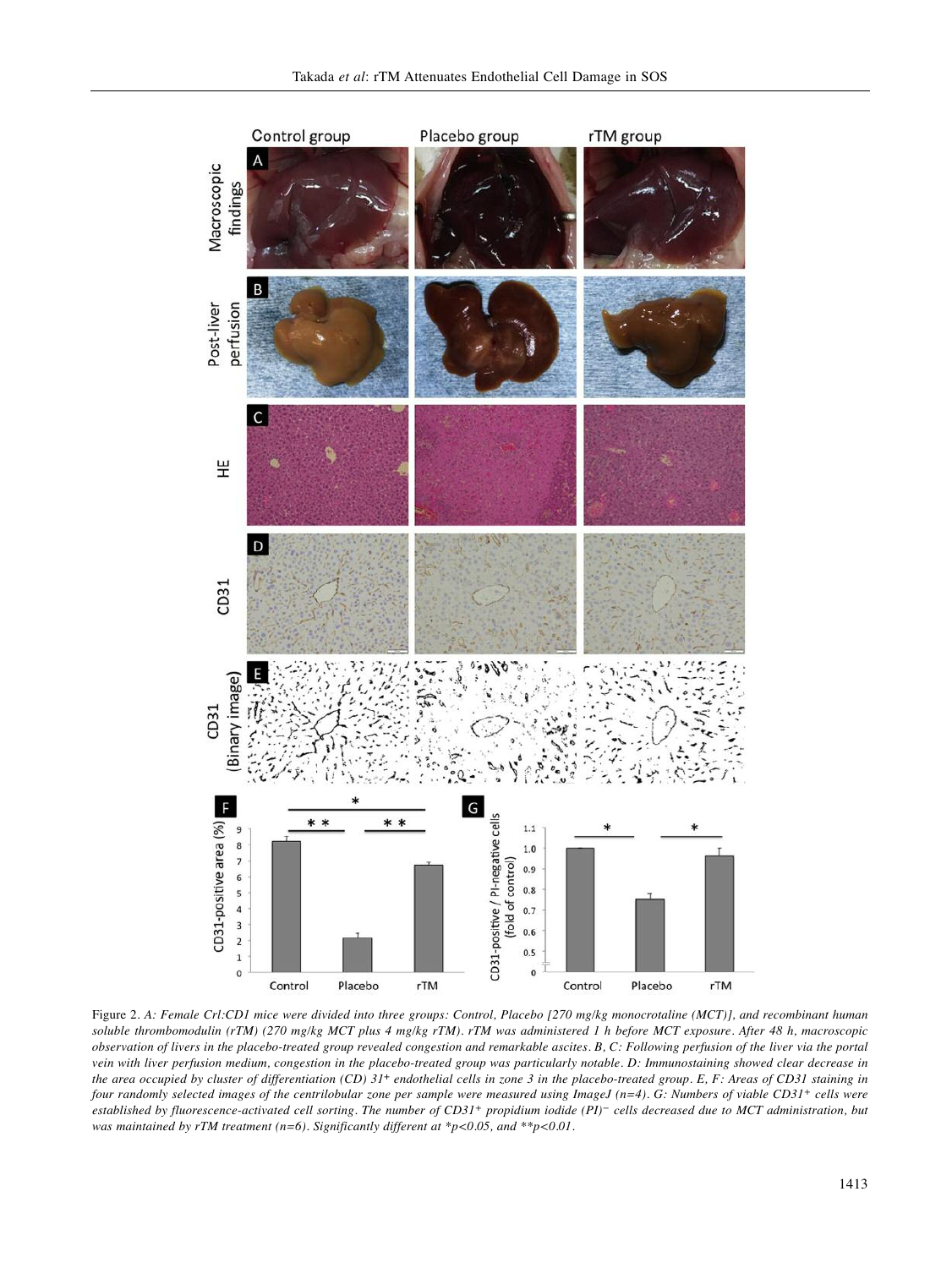

Figure 2. A: Female Crl:CD1 mice were divided into three groups: Control, Placebo [270 mg/kg monocrotaline (MCT)], and recombinant human soluble thrombomodulin (rTM) (270 mg/kg MCT plus 4 mg/kg rTM). rTM was administered 1 h before MCT exposure. After 48 h, macroscopic observation of livers in the placebo-treated group revealed congestion and remarkable ascites. B, C: Following perfusion of the liver via the portal vein with liver perfusion medium, congestion in the placebo-treated group was particularly notable. D: Immunostaining showed clear decrease in the area occupied by cluster of differentiation (CD)  $31<sup>+</sup>$  endothelial cells in zone 3 in the placebo-treated group. E, F: Areas of CD31 staining in four randomly selected images of the centrilobular zone per sample were measured using ImageJ (n=4). G: Numbers of viable CD31+ cells were established by fluorescence-activated cell sorting. The number of CD31+ propidium iodide (PI)- cells decreased due to MCT administration, but *was maintained by rTM treatment (n=6). Significantly different at \*p<0.05, and \*\*p<0.01.*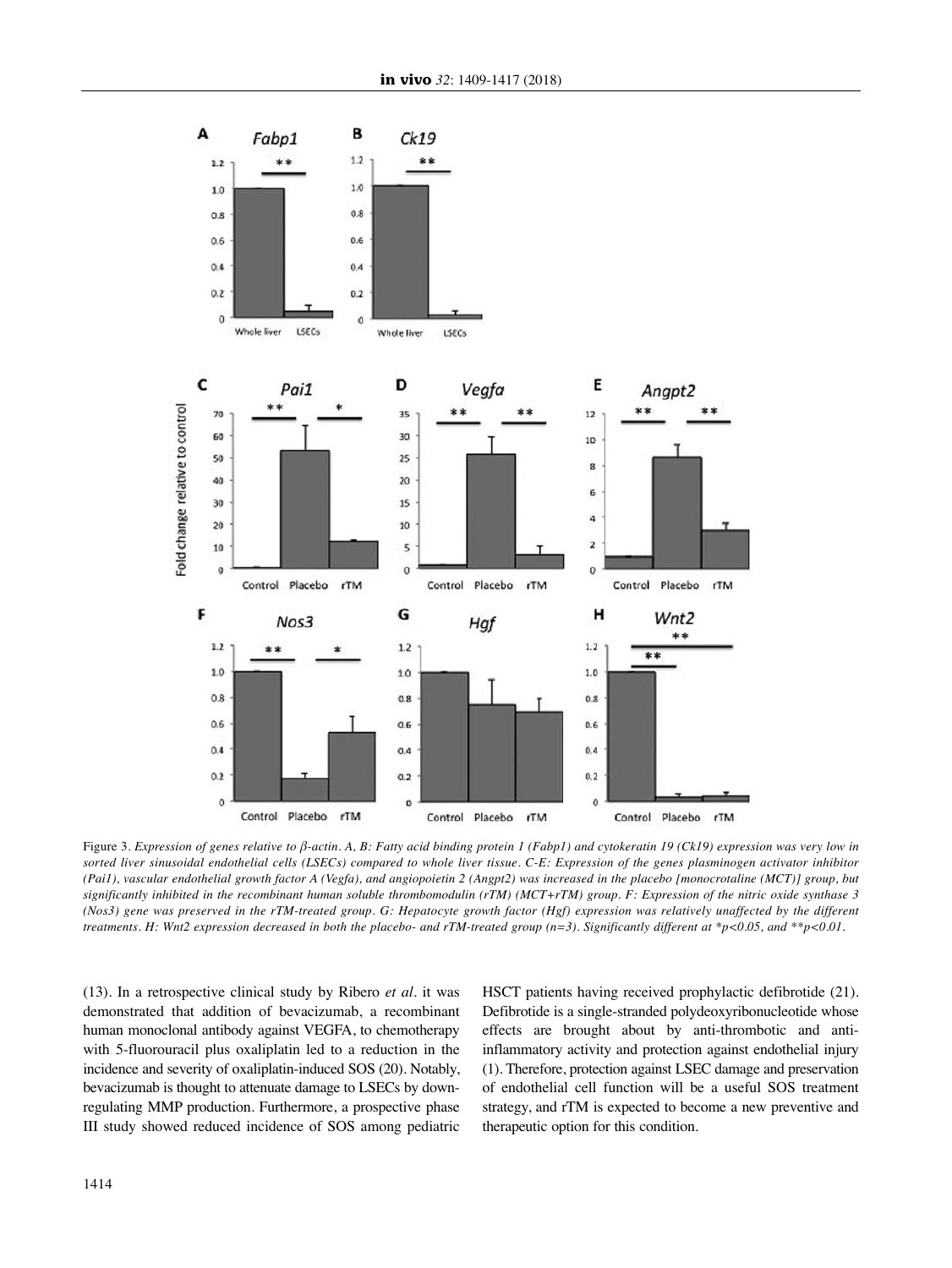

Figure 3. Expression of genes relative to  $\beta$ -actin. A, B: Fatty acid binding protein 1 (Fabp1) and cytokeratin 19 (Ck19) expression was very low in sorted liver sinusoidal endothelial cells (LSECs) compared to whole liver tissue. C-E: Expression of the genes plasminogen activator inhibitor (Pai1), vascular endothelial growth factor A (Vegfa), and angiopoietin 2 (Angpt2) was increased in the placebo [monocrotaline (MCT)] group, but significantly inhibited in the recombinant human soluble thrombomodulin (rTM) (MCT+rTM) group. F: Expression of the nitric oxide synthase 3 (Nos3) gene was preserved in the rTM-treated group. G: Hepatocyte growth factor (Hgf) expression was relatively unaffected by the different treatments. H: Wnt2 expression decreased in both the placebo- and rTM-treated group (n=3). Significantly different at \*p<0.05, and \*\*p<0.01.

(13). In a retrospective clinical study by Ribero *et al.* it was demonstrated that addition of bevacizumab, a recombinant human monoclonal antibody against VEGFA, to chemotherapy with 5-fluorouracil plus oxaliplatin led to a reduction in the incidence and severity of oxaliplatin-induced SOS (20). Notably, bevacizumab is thought to attenuate damage to LSECs by downregulating MMP production. Furthermore, a prospective phase III study showed reduced incidence of SOS among pediatric HSCT patients having received prophylactic defibrotide (21). Defibrotide is a single-stranded polydeoxyribonucleotide whose effects are brought about by anti-thrombotic and antiinflammatory activity and protection against endothelial injury (1). Therefore, protection against LSEC damage and preservation of endothelial cell function will be a useful SOS treatment strategy, and rTM is expected to become a new preventive and therapeutic option for this condition.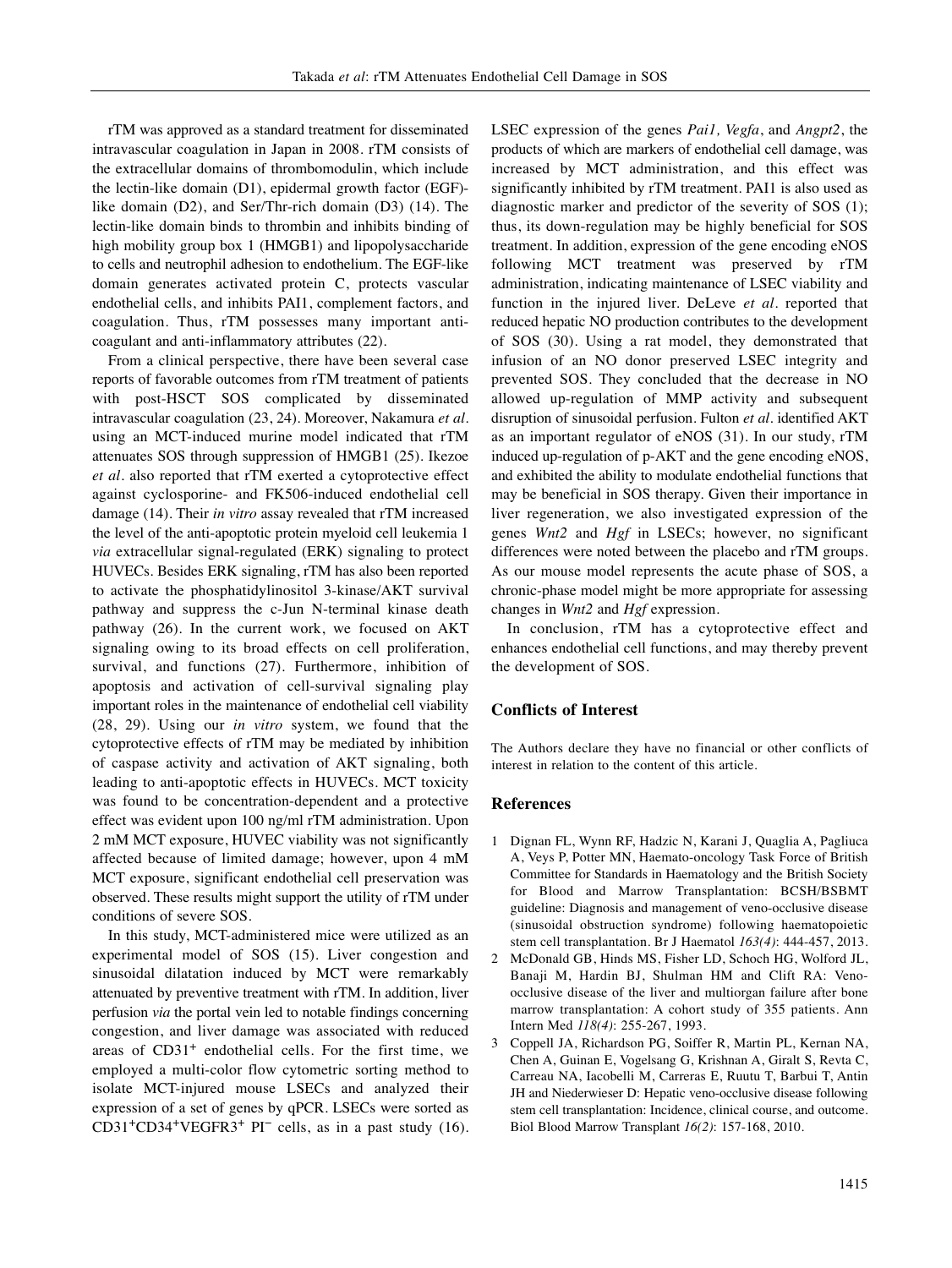rTM was approved as a standard treatment for disseminated intravascular coagulation in Japan in 2008. rTM consists of the extracellular domains of thrombomodulin, which include the lectin-like domain (D1), epidermal growth factor (EGF) like domain (D2), and Ser/Thr-rich domain (D3) (14). The lectin-like domain binds to thrombin and inhibits binding of high mobility group box 1 (HMGB1) and lipopolysaccharide to cells and neutrophil adhesion to endothelium. The EGF-like domain generates activated protein C, protects vascular endothelial cells, and inhibits PAI1, complement factors, and coagulation. Thus, rTM possesses many important anticoagulant and anti-inflammatory attributes (22).

From a clinical perspective, there have been several case reports of favorable outcomes from rTM treatment of patients with post-HSCT SOS complicated by disseminated intravascular coagulation (23, 24). Moreover, Nakamura *et al.* using an MCT-induced murine model indicated that rTM attenuates SOS through suppression of HMGB1 (25). Ikezoe *et al.* also reported that rTM exerted a cytoprotective effect against cyclosporine- and FK506-induced endothelial cell damage (14). Their *in vitro* assay revealed that rTM increased the level of the anti-apoptotic protein myeloid cell leukemia 1 *via* extracellular signal-regulated (ERK) signaling to protect HUVECs. Besides ERK signaling, rTM has also been reported to activate the phosphatidylinositol 3-kinase/AKT survival pathway and suppress the c-Jun N-terminal kinase death pathway (26). In the current work, we focused on AKT signaling owing to its broad effects on cell proliferation, survival, and functions (27). Furthermore, inhibition of apoptosis and activation of cell-survival signaling play important roles in the maintenance of endothelial cell viability (28, 29). Using our *in vitro* system, we found that the cytoprotective effects of rTM may be mediated by inhibition of caspase activity and activation of AKT signaling, both leading to anti-apoptotic effects in HUVECs. MCT toxicity was found to be concentration-dependent and a protective effect was evident upon 100 ng/ml rTM administration. Upon 2 mM MCT exposure, HUVEC viability was not significantly affected because of limited damage; however, upon 4 mM MCT exposure, significant endothelial cell preservation was observed. These results might support the utility of rTM under conditions of severe SOS.

In this study, MCT-administered mice were utilized as an experimental model of SOS (15). Liver congestion and sinusoidal dilatation induced by MCT were remarkably attenuated by preventive treatment with rTM. In addition, liver perfusion *via* the portal vein led to notable findings concerning congestion, and liver damage was associated with reduced areas of  $CD31<sup>+</sup>$  endothelial cells. For the first time, we employed a multi-color flow cytometric sorting method to isolate MCT-injured mouse LSECs and analyzed their expression of a set of genes by qPCR. LSECs were sorted as CD31<sup>+</sup>CD34<sup>+</sup>VEGFR3<sup>+</sup> PI<sup>-</sup> cells, as in a past study (16).

LSEC expression of the genes *Pai1, Vegfa*, and *Angpt2*, the products of which are markers of endothelial cell damage, was increased by MCT administration, and this effect was significantly inhibited by rTM treatment. PAI1 is also used as diagnostic marker and predictor of the severity of SOS (1); thus, its down-regulation may be highly beneficial for SOS treatment. In addition, expression of the gene encoding eNOS following MCT treatment was preserved by rTM administration, indicating maintenance of LSEC viability and function in the injured liver. DeLeve *et al.* reported that reduced hepatic NO production contributes to the development of SOS (30). Using a rat model, they demonstrated that infusion of an NO donor preserved LSEC integrity and prevented SOS. They concluded that the decrease in NO allowed up-regulation of MMP activity and subsequent disruption of sinusoidal perfusion. Fulton *et al.* identified AKT as an important regulator of eNOS (31). In our study, rTM induced up-regulation of p-AKT and the gene encoding eNOS, and exhibited the ability to modulate endothelial functions that may be beneficial in SOS therapy. Given their importance in liver regeneration, we also investigated expression of the genes *Wnt2* and *Hgf* in LSECs; however, no significant differences were noted between the placebo and rTM groups. As our mouse model represents the acute phase of SOS, a chronic-phase model might be more appropriate for assessing changes in *Wnt2* and *Hgf* expression.

In conclusion, rTM has a cytoprotective effect and enhances endothelial cell functions, and may thereby prevent the development of SOS.

# **Conflicts of Interest**

The Authors declare they have no financial or other conflicts of interest in relation to the content of this article.

#### **References**

- 1 Dignan FL, Wynn RF, Hadzic N, Karani J, Quaglia A, Pagliuca A, Veys P, Potter MN, Haemato-oncology Task Force of British Committee for Standards in Haematology and the British Society for Blood and Marrow Transplantation: BCSH/BSBMT guideline: Diagnosis and management of veno-occlusive disease (sinusoidal obstruction syndrome) following haematopoietic stem cell transplantation. Br J Haematol *163(4)*: 444-457, 2013.
- 2 McDonald GB, Hinds MS, Fisher LD, Schoch HG, Wolford JL, Banaji M, Hardin BJ, Shulman HM and Clift RA: Venoocclusive disease of the liver and multiorgan failure after bone marrow transplantation: A cohort study of 355 patients. Ann Intern Med *118(4)*: 255-267, 1993.
- 3 Coppell JA, Richardson PG, Soiffer R, Martin PL, Kernan NA, Chen A, Guinan E, Vogelsang G, Krishnan A, Giralt S, Revta C, Carreau NA, Iacobelli M, Carreras E, Ruutu T, Barbui T, Antin JH and Niederwieser D: Hepatic veno-occlusive disease following stem cell transplantation: Incidence, clinical course, and outcome. Biol Blood Marrow Transplant *16(2)*: 157-168, 2010.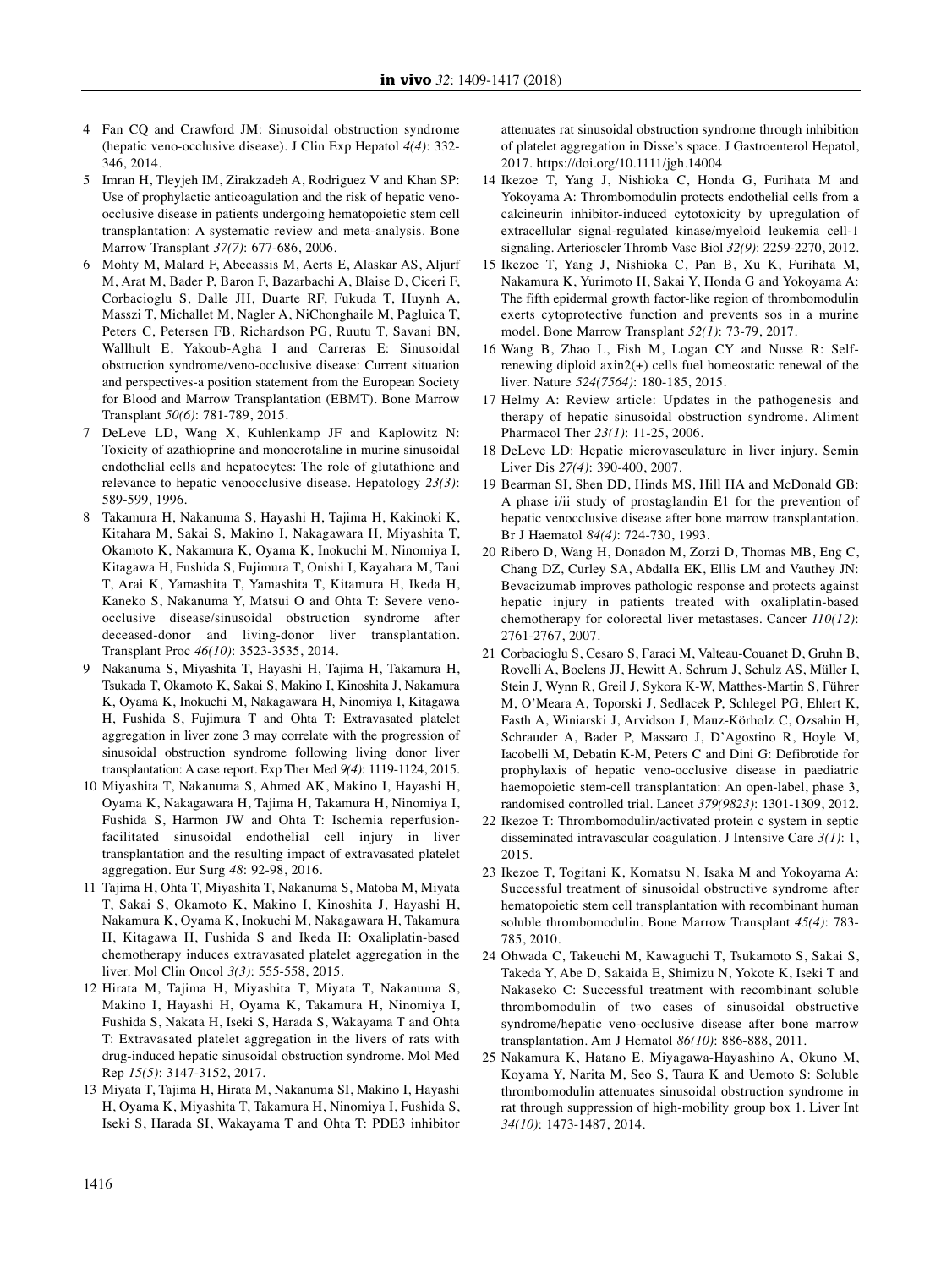- 4 Fan CQ and Crawford JM: Sinusoidal obstruction syndrome (hepatic veno-occlusive disease). J Clin Exp Hepatol *4(4)*: 332- 346, 2014.
- 5 Imran H, Tleyjeh IM, Zirakzadeh A, Rodriguez V and Khan SP: Use of prophylactic anticoagulation and the risk of hepatic venoocclusive disease in patients undergoing hematopoietic stem cell transplantation: A systematic review and meta-analysis. Bone Marrow Transplant *37(7)*: 677-686, 2006.
- 6 Mohty M, Malard F, Abecassis M, Aerts E, Alaskar AS, Aljurf M, Arat M, Bader P, Baron F, Bazarbachi A, Blaise D, Ciceri F, Corbacioglu S, Dalle JH, Duarte RF, Fukuda T, Huynh A, Masszi T, Michallet M, Nagler A, NiChonghaile M, Pagluica T, Peters C, Petersen FB, Richardson PG, Ruutu T, Savani BN, Wallhult E, Yakoub-Agha I and Carreras E: Sinusoidal obstruction syndrome/veno-occlusive disease: Current situation and perspectives-a position statement from the European Society for Blood and Marrow Transplantation (EBMT). Bone Marrow Transplant *50(6)*: 781-789, 2015.
- 7 DeLeve LD, Wang X, Kuhlenkamp JF and Kaplowitz N: Toxicity of azathioprine and monocrotaline in murine sinusoidal endothelial cells and hepatocytes: The role of glutathione and relevance to hepatic venoocclusive disease. Hepatology *23(3)*: 589-599, 1996.
- 8 Takamura H, Nakanuma S, Hayashi H, Tajima H, Kakinoki K, Kitahara M, Sakai S, Makino I, Nakagawara H, Miyashita T, Okamoto K, Nakamura K, Oyama K, Inokuchi M, Ninomiya I, Kitagawa H, Fushida S, Fujimura T, Onishi I, Kayahara M, Tani T, Arai K, Yamashita T, Yamashita T, Kitamura H, Ikeda H, Kaneko S, Nakanuma Y, Matsui O and Ohta T: Severe venoocclusive disease/sinusoidal obstruction syndrome after deceased-donor and living-donor liver transplantation. Transplant Proc *46(10)*: 3523-3535, 2014.
- 9 Nakanuma S, Miyashita T, Hayashi H, Tajima H, Takamura H, Tsukada T, Okamoto K, Sakai S, Makino I, Kinoshita J, Nakamura K, Oyama K, Inokuchi M, Nakagawara H, Ninomiya I, Kitagawa H, Fushida S, Fujimura T and Ohta T: Extravasated platelet aggregation in liver zone 3 may correlate with the progression of sinusoidal obstruction syndrome following living donor liver transplantation: A case report. Exp Ther Med *9(4)*: 1119-1124, 2015.
- 10 Miyashita T, Nakanuma S, Ahmed AK, Makino I, Hayashi H, Oyama K, Nakagawara H, Tajima H, Takamura H, Ninomiya I, Fushida S, Harmon JW and Ohta T: Ischemia reperfusionfacilitated sinusoidal endothelial cell injury in liver transplantation and the resulting impact of extravasated platelet aggregation. Eur Surg *48*: 92-98, 2016.
- 11 Tajima H, Ohta T, Miyashita T, Nakanuma S, Matoba M, Miyata T, Sakai S, Okamoto K, Makino I, Kinoshita J, Hayashi H, Nakamura K, Oyama K, Inokuchi M, Nakagawara H, Takamura H, Kitagawa H, Fushida S and Ikeda H: Oxaliplatin-based chemotherapy induces extravasated platelet aggregation in the liver. Mol Clin Oncol *3(3)*: 555-558, 2015.
- 12 Hirata M, Tajima H, Miyashita T, Miyata T, Nakanuma S, Makino I, Hayashi H, Oyama K, Takamura H, Ninomiya I, Fushida S, Nakata H, Iseki S, Harada S, Wakayama T and Ohta T: Extravasated platelet aggregation in the livers of rats with drug-induced hepatic sinusoidal obstruction syndrome. Mol Med Rep *15(5)*: 3147-3152, 2017.
- 13 Miyata T, Tajima H, Hirata M, Nakanuma SI, Makino I, Hayashi H, Oyama K, Miyashita T, Takamura H, Ninomiya I, Fushida S, Iseki S, Harada SI, Wakayama T and Ohta T: PDE3 inhibitor

attenuates rat sinusoidal obstruction syndrome through inhibition of platelet aggregation in Disse's space. J Gastroenterol Hepatol, 2017. https://doi.org/10.1111/jgh.14004

- 14 Ikezoe T, Yang J, Nishioka C, Honda G, Furihata M and Yokoyama A: Thrombomodulin protects endothelial cells from a calcineurin inhibitor-induced cytotoxicity by upregulation of extracellular signal-regulated kinase/myeloid leukemia cell-1 signaling. Arterioscler Thromb Vasc Biol *32(9)*: 2259-2270, 2012.
- 15 Ikezoe T, Yang J, Nishioka C, Pan B, Xu K, Furihata M, Nakamura K, Yurimoto H, Sakai Y, Honda G and Yokoyama A: The fifth epidermal growth factor-like region of thrombomodulin exerts cytoprotective function and prevents sos in a murine model. Bone Marrow Transplant *52(1)*: 73-79, 2017.
- 16 Wang B, Zhao L, Fish M, Logan CY and Nusse R: Selfrenewing diploid axin2(+) cells fuel homeostatic renewal of the liver. Nature *524(7564)*: 180-185, 2015.
- 17 Helmy A: Review article: Updates in the pathogenesis and therapy of hepatic sinusoidal obstruction syndrome. Aliment Pharmacol Ther *23(1)*: 11-25, 2006.
- 18 DeLeve LD: Hepatic microvasculature in liver injury. Semin Liver Dis *27(4)*: 390-400, 2007.
- 19 Bearman SI, Shen DD, Hinds MS, Hill HA and McDonald GB: A phase i/ii study of prostaglandin E1 for the prevention of hepatic venocclusive disease after bone marrow transplantation. Br J Haematol *84(4)*: 724-730, 1993.
- 20 Ribero D, Wang H, Donadon M, Zorzi D, Thomas MB, Eng C, Chang DZ, Curley SA, Abdalla EK, Ellis LM and Vauthey JN: Bevacizumab improves pathologic response and protects against hepatic injury in patients treated with oxaliplatin-based chemotherapy for colorectal liver metastases. Cancer *110(12)*: 2761-2767, 2007.
- 21 Corbacioglu S, Cesaro S, Faraci M, Valteau-Couanet D, Gruhn B, Rovelli A, Boelens JJ, Hewitt A, Schrum J, Schulz AS, Müller I, Stein J, Wynn R, Greil J, Sykora K-W, Matthes-Martin S, Führer M, O'Meara A, Toporski J, Sedlacek P, Schlegel PG, Ehlert K, Fasth A, Winiarski J, Arvidson J, Mauz-Körholz C, Ozsahin H, Schrauder A, Bader P, Massaro J, D'Agostino R, Hoyle M, Iacobelli M, Debatin K-M, Peters C and Dini G: Defibrotide for prophylaxis of hepatic veno-occlusive disease in paediatric haemopoietic stem-cell transplantation: An open-label, phase 3, randomised controlled trial. Lancet *379(9823)*: 1301-1309, 2012.
- 22 Ikezoe T: Thrombomodulin/activated protein c system in septic disseminated intravascular coagulation. J Intensive Care *3(1)*: 1, 2015.
- 23 Ikezoe T, Togitani K, Komatsu N, Isaka M and Yokoyama A: Successful treatment of sinusoidal obstructive syndrome after hematopoietic stem cell transplantation with recombinant human soluble thrombomodulin. Bone Marrow Transplant *45(4)*: 783- 785, 2010.
- 24 Ohwada C, Takeuchi M, Kawaguchi T, Tsukamoto S, Sakai S, Takeda Y, Abe D, Sakaida E, Shimizu N, Yokote K, Iseki T and Nakaseko C: Successful treatment with recombinant soluble thrombomodulin of two cases of sinusoidal obstructive syndrome/hepatic veno-occlusive disease after bone marrow transplantation. Am J Hematol *86(10)*: 886-888, 2011.
- 25 Nakamura K, Hatano E, Miyagawa-Hayashino A, Okuno M, Koyama Y, Narita M, Seo S, Taura K and Uemoto S: Soluble thrombomodulin attenuates sinusoidal obstruction syndrome in rat through suppression of high-mobility group box 1. Liver Int *34(10)*: 1473-1487, 2014.